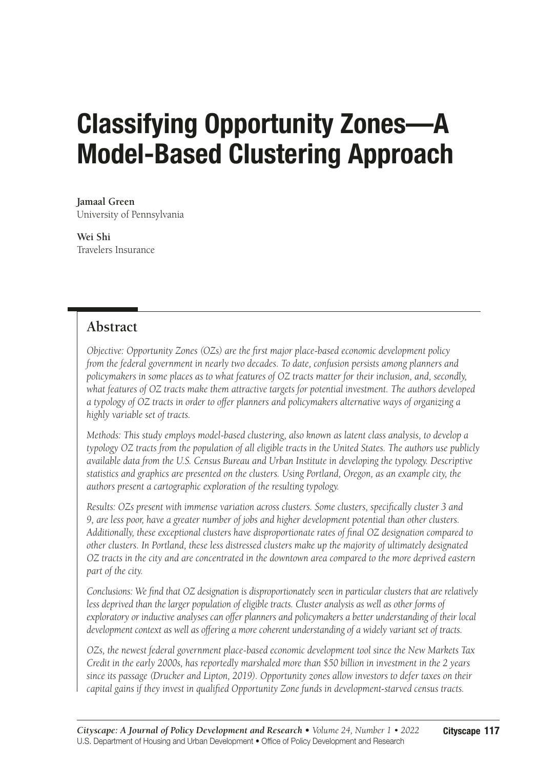# Classifying Opportunity Zones—A Model-Based Clustering Approach

**Jamaal Green** University of Pennsylvania

**Wei Shi** Travelers Insurance

# **Abstract**

*Objective: Opportunity Zones (OZs) are the first major place-based economic development policy from the federal government in nearly two decades. To date, confusion persists among planners and policymakers in some places as to what features of OZ tracts matter for their inclusion, and, secondly, what features of OZ tracts make them attractive targets for potential investment. The authors developed a typology of OZ tracts in order to offer planners and policymakers alternative ways of organizing a highly variable set of tracts.*

*Methods: This study employs model-based clustering, also known as latent class analysis, to develop a typology OZ tracts from the population of all eligible tracts in the United States. The authors use publicly available data from the U.S. Census Bureau and Urban Institute in developing the typology. Descriptive statistics and graphics are presented on the clusters. Using Portland, Oregon, as an example city, the authors present a cartographic exploration of the resulting typology.*

*Results: OZs present with immense variation across clusters. Some clusters, specifically cluster 3 and 9, are less poor, have a greater number of jobs and higher development potential than other clusters. Additionally, these exceptional clusters have disproportionate rates of final OZ designation compared to other clusters. In Portland, these less distressed clusters make up the majority of ultimately designated OZ tracts in the city and are concentrated in the downtown area compared to the more deprived eastern part of the city.*

*Conclusions: We find that OZ designation is disproportionately seen in particular clusters that are relatively*  less deprived than the larger population of eligible tracts. Cluster analysis as well as other forms of *exploratory or inductive analyses can offer planners and policymakers a better understanding of their local development context as well as offering a more coherent understanding of a widely variant set of tracts.*

*OZs, the newest federal government place-based economic development tool since the New Markets Tax Credit in the early 2000s, has reportedly marshaled more than \$50 billion in investment in the 2 years since its passage (Drucker and Lipton, 2019). Opportunity zones allow investors to defer taxes on their capital gains if they invest in qualified Opportunity Zone funds in development-starved census tracts.*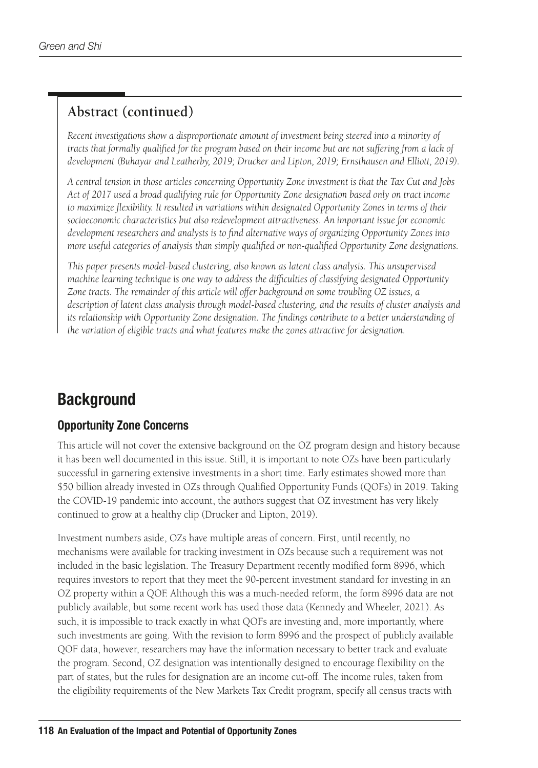# **Abstract (continued)**

*Recent investigations show a disproportionate amount of investment being steered into a minority of tracts that formally qualified for the program based on their income but are not suffering from a lack of development (Buhayar and Leatherby, 2019; Drucker and Lipton, 2019; Ernsthausen and Elliott, 2019).*

*A central tension in those articles concerning Opportunity Zone investment is that the Tax Cut and Jobs Act of 2017 used a broad qualifying rule for Opportunity Zone designation based only on tract income to maximize flexibility. It resulted in variations within designated Opportunity Zones in terms of their socioeconomic characteristics but also redevelopment attractiveness. An important issue for economic development researchers and analysts is to find alternative ways of organizing Opportunity Zones into more useful categories of analysis than simply qualified or non-qualified Opportunity Zone designations.*

*This paper presents model-based clustering, also known as latent class analysis. This unsupervised machine learning technique is one way to address the difficulties of classifying designated Opportunity Zone tracts. The remainder of this article will offer background on some troubling OZ issues, a description of latent class analysis through model-based clustering, and the results of cluster analysis and its relationship with Opportunity Zone designation. The findings contribute to a better understanding of the variation of eligible tracts and what features make the zones attractive for designation.*

# **Background**

# Opportunity Zone Concerns

This article will not cover the extensive background on the OZ program design and history because it has been well documented in this issue. Still, it is important to note OZs have been particularly successful in garnering extensive investments in a short time. Early estimates showed more than \$50 billion already invested in OZs through Qualified Opportunity Funds (QOFs) in 2019. Taking the COVID-19 pandemic into account, the authors suggest that OZ investment has very likely continued to grow at a healthy clip (Drucker and Lipton, 2019).

Investment numbers aside, OZs have multiple areas of concern. First, until recently, no mechanisms were available for tracking investment in OZs because such a requirement was not included in the basic legislation. The Treasury Department recently modified form 8996, which requires investors to report that they meet the 90-percent investment standard for investing in an OZ property within a QOF. Although this was a much-needed reform, the form 8996 data are not publicly available, but some recent work has used those data (Kennedy and Wheeler, 2021). As such, it is impossible to track exactly in what QOFs are investing and, more importantly, where such investments are going. With the revision to form 8996 and the prospect of publicly available QOF data, however, researchers may have the information necessary to better track and evaluate the program. Second, OZ designation was intentionally designed to encourage flexibility on the part of states, but the rules for designation are an income cut-off. The income rules, taken from the eligibility requirements of the New Markets Tax Credit program, specify all census tracts with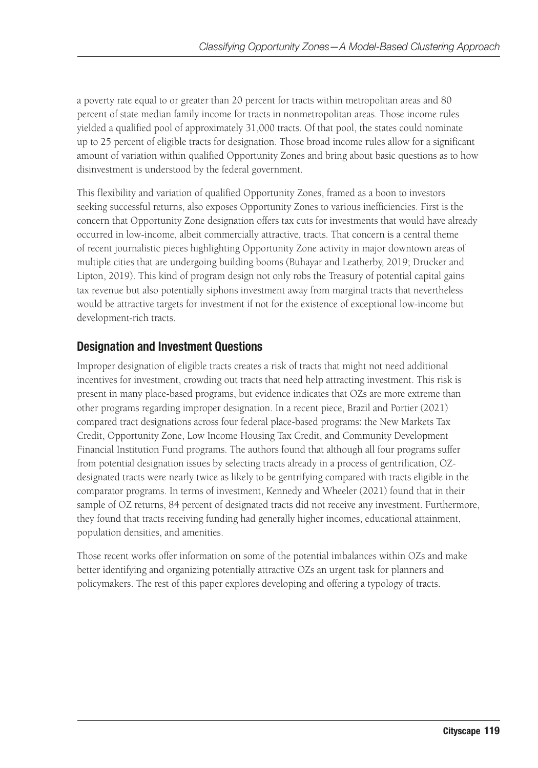a poverty rate equal to or greater than 20 percent for tracts within metropolitan areas and 80 percent of state median family income for tracts in nonmetropolitan areas. Those income rules yielded a qualified pool of approximately 31,000 tracts. Of that pool, the states could nominate up to 25 percent of eligible tracts for designation. Those broad income rules allow for a significant amount of variation within qualified Opportunity Zones and bring about basic questions as to how disinvestment is understood by the federal government.

This flexibility and variation of qualified Opportunity Zones, framed as a boon to investors seeking successful returns, also exposes Opportunity Zones to various inefficiencies. First is the concern that Opportunity Zone designation offers tax cuts for investments that would have already occurred in low-income, albeit commercially attractive, tracts. That concern is a central theme of recent journalistic pieces highlighting Opportunity Zone activity in major downtown areas of multiple cities that are undergoing building booms (Buhayar and Leatherby, 2019; Drucker and Lipton, 2019). This kind of program design not only robs the Treasury of potential capital gains tax revenue but also potentially siphons investment away from marginal tracts that nevertheless would be attractive targets for investment if not for the existence of exceptional low-income but development-rich tracts.

### Designation and Investment Questions

Improper designation of eligible tracts creates a risk of tracts that might not need additional incentives for investment, crowding out tracts that need help attracting investment. This risk is present in many place-based programs, but evidence indicates that OZs are more extreme than other programs regarding improper designation. In a recent piece, Brazil and Portier (2021) compared tract designations across four federal place-based programs: the New Markets Tax Credit, Opportunity Zone, Low Income Housing Tax Credit, and Community Development Financial Institution Fund programs. The authors found that although all four programs suffer from potential designation issues by selecting tracts already in a process of gentrification, OZdesignated tracts were nearly twice as likely to be gentrifying compared with tracts eligible in the comparator programs. In terms of investment, Kennedy and Wheeler (2021) found that in their sample of OZ returns, 84 percent of designated tracts did not receive any investment. Furthermore, they found that tracts receiving funding had generally higher incomes, educational attainment, population densities, and amenities.

Those recent works offer information on some of the potential imbalances within OZs and make better identifying and organizing potentially attractive OZs an urgent task for planners and policymakers. The rest of this paper explores developing and offering a typology of tracts.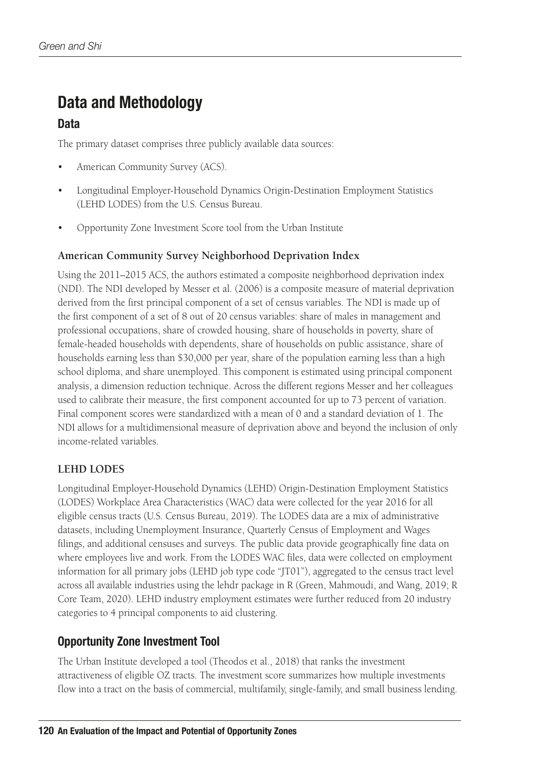# Data and Methodology

### **Data**

The primary dataset comprises three publicly available data sources:

- American Community Survey (ACS).
- Longitudinal Employer-Household Dynamics Origin-Destination Employment Statistics (LEHD LODES) from the U.S. Census Bureau.
- Opportunity Zone Investment Score tool from the Urban Institute

#### **American Community Survey Neighborhood Deprivation Index**

Using the 2011–2015 ACS, the authors estimated a composite neighborhood deprivation index (NDI). The NDI developed by Messer et al. (2006) is a composite measure of material deprivation derived from the first principal component of a set of census variables. The NDI is made up of the first component of a set of 8 out of 20 census variables: share of males in management and professional occupations, share of crowded housing, share of households in poverty, share of female-headed households with dependents, share of households on public assistance, share of households earning less than \$30,000 per year, share of the population earning less than a high school diploma, and share unemployed. This component is estimated using principal component analysis, a dimension reduction technique. Across the different regions Messer and her colleagues used to calibrate their measure, the first component accounted for up to 73 percent of variation. Final component scores were standardized with a mean of 0 and a standard deviation of 1. The NDI allows for a multidimensional measure of deprivation above and beyond the inclusion of only income-related variables.

### **LEHD LODES**

Longitudinal Employer-Household Dynamics (LEHD) Origin-Destination Employment Statistics (LODES) Workplace Area Characteristics (WAC) data were collected for the year 2016 for all eligible census tracts (U.S. Census Bureau, 2019). The LODES data are a mix of administrative datasets, including Unemployment Insurance, Quarterly Census of Employment and Wages filings, and additional censuses and surveys. The public data provide geographically fine data on where employees live and work. From the LODES WAC files, data were collected on employment information for all primary jobs (LEHD job type code "JT01"), aggregated to the census tract level across all available industries using the lehdr package in R (Green, Mahmoudi, and Wang, 2019; R Core Team, 2020). LEHD industry employment estimates were further reduced from 20 industry categories to 4 principal components to aid clustering.

### Opportunity Zone Investment Tool

The Urban Institute developed a tool (Theodos et al., 2018) that ranks the investment attractiveness of eligible OZ tracts. The investment score summarizes how multiple investments flow into a tract on the basis of commercial, multifamily, single-family, and small business lending.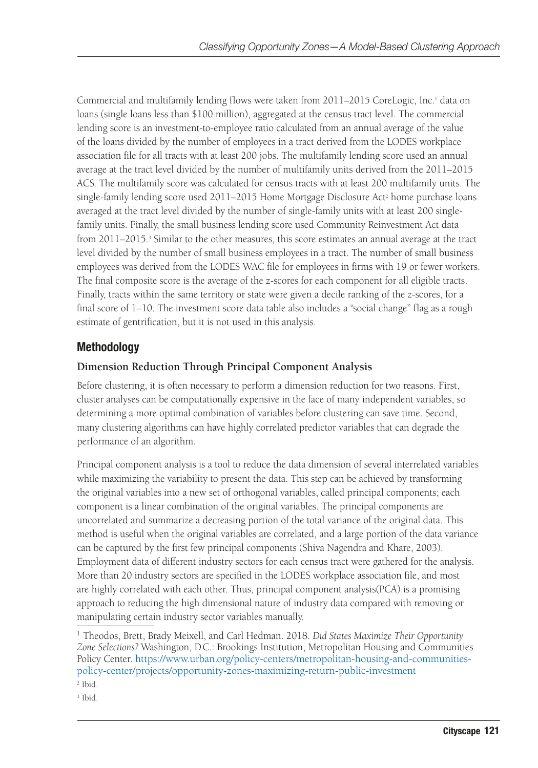Commercial and multifamily lending flows were taken from 2011–2015 CoreLogic, Inc.<sup>1</sup> data on loans (single loans less than \$100 million), aggregated at the census tract level. The commercial lending score is an investment-to-employee ratio calculated from an annual average of the value of the loans divided by the number of employees in a tract derived from the LODES workplace association file for all tracts with at least 200 jobs. The multifamily lending score used an annual average at the tract level divided by the number of multifamily units derived from the 2011–2015 ACS. The multifamily score was calculated for census tracts with at least 200 multifamily units. The single-family lending score used 2011–2015 Home Mortgage Disclosure Act<sup>2</sup> home purchase loans averaged at the tract level divided by the number of single-family units with at least 200 singlefamily units. Finally, the small business lending score used Community Reinvestment Act data from 2011–2015.<sup>3</sup> Similar to the other measures, this score estimates an annual average at the tract level divided by the number of small business employees in a tract. The number of small business employees was derived from the LODES WAC file for employees in firms with 19 or fewer workers. The final composite score is the average of the z-scores for each component for all eligible tracts. Finally, tracts within the same territory or state were given a decile ranking of the z-scores, for a final score of 1–10. The investment score data table also includes a "social change" flag as a rough estimate of gentrification, but it is not used in this analysis.

# Methodology

### **Dimension Reduction Through Principal Component Analysis**

Before clustering, it is often necessary to perform a dimension reduction for two reasons. First, cluster analyses can be computationally expensive in the face of many independent variables, so determining a more optimal combination of variables before clustering can save time. Second, many clustering algorithms can have highly correlated predictor variables that can degrade the performance of an algorithm.

Principal component analysis is a tool to reduce the data dimension of several interrelated variables while maximizing the variability to present the data. This step can be achieved by transforming the original variables into a new set of orthogonal variables, called principal components; each component is a linear combination of the original variables. The principal components are uncorrelated and summarize a decreasing portion of the total variance of the original data. This method is useful when the original variables are correlated, and a large portion of the data variance can be captured by the first few principal components (Shiva Nagendra and Khare, 2003). Employment data of different industry sectors for each census tract were gathered for the analysis. More than 20 industry sectors are specified in the LODES workplace association file, and most are highly correlated with each other. Thus, principal component analysis(PCA) is a promising approach to reducing the high dimensional nature of industry data compared with removing or manipulating certain industry sector variables manually.

<sup>1</sup> Theodos, Brett, Brady Meixell, and Carl Hedman. 2018. *Did States Maximize Their Opportunity Zone Selections?* Washington, D.C.: Brookings Institution, Metropolitan Housing and Communities Policy Center. [https://www.urban.org/policy-centers/metropolitan-housing-and-communities](https://www.urban.org/policy-centers/metropolitan-housing-and-communities-policy-center/projects/opportunity-zones-maximizing-return-public-investment)[policy-center/projects/opportunity-zones-maximizing-return-public-investment](https://www.urban.org/policy-centers/metropolitan-housing-and-communities-policy-center/projects/opportunity-zones-maximizing-return-public-investment) 2 Ibid.

<sup>3</sup> Ibid.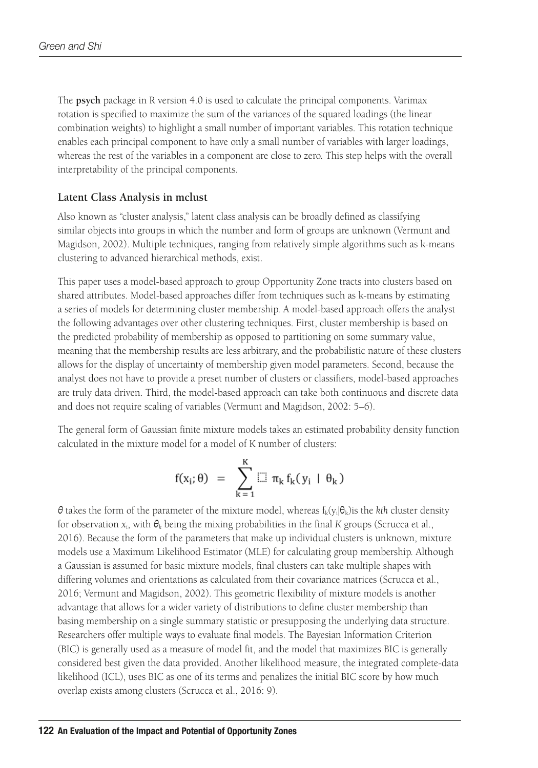The **psych** package in R version 4.0 is used to calculate the principal components. Varimax rotation is specified to maximize the sum of the variances of the squared loadings (the linear combination weights) to highlight a small number of important variables. This rotation technique enables each principal component to have only a small number of variables with larger loadings, whereas the rest of the variables in a component are close to zero. This step helps with the overall interpretability of the principal components.

#### **Latent Class Analysis in mclust**

Also known as "cluster analysis," latent class analysis can be broadly defined as classifying similar objects into groups in which the number and form of groups are unknown (Vermunt and Magidson, 2002). Multiple techniques, ranging from relatively simple algorithms such as k-means clustering to advanced hierarchical methods, exist.

This paper uses a model-based approach to group Opportunity Zone tracts into clusters based on shared attributes. Model-based approaches differ from techniques such as k-means by estimating a series of models for determining cluster membership. A model-based approach offers the analyst the following advantages over other clustering techniques. First, cluster membership is based on the predicted probability of membership as opposed to partitioning on some summary value, meaning that the membership results are less arbitrary, and the probabilistic nature of these clusters allows for the display of uncertainty of membership given model parameters. Second, because the analyst does not have to provide a preset number of clusters or classifiers, model-based approaches are truly data driven. Third, the model-based approach can take both continuous and discrete data and does not require scaling of variables (Vermunt and Magidson, 2002: 5–6).

The general form of Gaussian finite mixture models takes an estimated probability density function calculated in the mixture model for a model of K number of clusters:

$$
f(x_i; \theta) \ = \ \sum_{k\,=\,1}^K \mathrel{\mathop{\sqcup\hspace{-.8em}\sqcup}^{_\mathit{K}}} \pi_k \, f_k (\, y_i \, \mid \, \theta_k \, )
$$

θ takes the form of the parameter of the mixture model, whereas  $f_k(y_i|\theta_k)$  is the *kth* cluster density for observation *xi*, with θ*k* being the mixing probabilities in the final *K* groups (Scrucca et al., 2016). Because the form of the parameters that make up individual clusters is unknown, mixture models use a Maximum Likelihood Estimator (MLE) for calculating group membership. Although a Gaussian is assumed for basic mixture models, final clusters can take multiple shapes with differing volumes and orientations as calculated from their covariance matrices (Scrucca et al., 2016; Vermunt and Magidson, 2002). This geometric flexibility of mixture models is another advantage that allows for a wider variety of distributions to define cluster membership than basing membership on a single summary statistic or presupposing the underlying data structure. Researchers offer multiple ways to evaluate final models. The Bayesian Information Criterion (BIC) is generally used as a measure of model fit, and the model that maximizes BIC is generally considered best given the data provided. Another likelihood measure, the integrated complete-data likelihood (ICL), uses BIC as one of its terms and penalizes the initial BIC score by how much overlap exists among clusters (Scrucca et al., 2016: 9).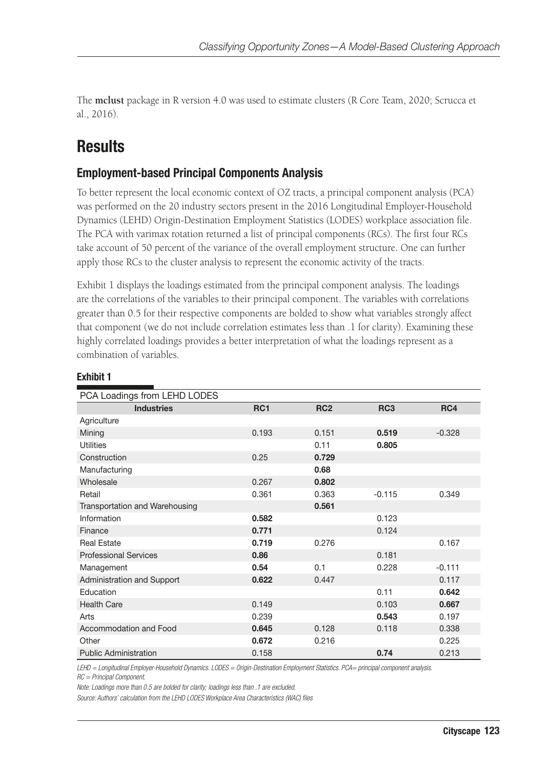The **mclust** package in R version 4.0 was used to estimate clusters (R Core Team, 2020; Scrucca et al., 2016).

# **Results**

### Employment-based Principal Components Analysis

To better represent the local economic context of OZ tracts, a principal component analysis (PCA) was performed on the 20 industry sectors present in the 2016 Longitudinal Employer-Household Dynamics (LEHD) Origin-Destination Employment Statistics (LODES) workplace association file. The PCA with varimax rotation returned a list of principal components (RCs). The first four RCs take account of 50 percent of the variance of the overall employment structure. One can further apply those RCs to the cluster analysis to represent the economic activity of the tracts.

Exhibit 1 displays the loadings estimated from the principal component analysis. The loadings are the correlations of the variables to their principal component. The variables with correlations greater than 0.5 for their respective components are bolded to show what variables strongly affect that component (we do not include correlation estimates less than .1 for clarity). Examining these highly correlated loadings provides a better interpretation of what the loadings represent as a combination of variables.

| PCA Loadings from LEHD LODES   |                 |                 |                 |          |  |  |  |  |  |
|--------------------------------|-----------------|-----------------|-----------------|----------|--|--|--|--|--|
| <b>Industries</b>              | RC <sub>1</sub> | RC <sub>2</sub> | RC <sub>3</sub> | RC4      |  |  |  |  |  |
| Agriculture                    |                 |                 |                 |          |  |  |  |  |  |
| Mining                         | 0.193           | 0.151           | 0.519           | $-0.328$ |  |  |  |  |  |
| <b>Utilities</b>               |                 | 0.11            | 0.805           |          |  |  |  |  |  |
| Construction                   | 0.25            | 0.729           |                 |          |  |  |  |  |  |
| Manufacturing                  |                 | 0.68            |                 |          |  |  |  |  |  |
| Wholesale                      | 0.267           | 0.802           |                 |          |  |  |  |  |  |
| Retail                         | 0.361           | 0.363           | $-0.115$        | 0.349    |  |  |  |  |  |
| Transportation and Warehousing |                 | 0.561           |                 |          |  |  |  |  |  |
| Information                    | 0.582           |                 | 0.123           |          |  |  |  |  |  |
| Finance                        | 0.771           |                 | 0.124           |          |  |  |  |  |  |
| <b>Real Estate</b>             | 0.719           | 0.276           |                 | 0.167    |  |  |  |  |  |
| <b>Professional Services</b>   | 0.86            |                 | 0.181           |          |  |  |  |  |  |
| Management                     | 0.54            | 0.1             | 0.228           | $-0.111$ |  |  |  |  |  |
| Administration and Support     | 0.622           | 0.447           |                 | 0.117    |  |  |  |  |  |
| Education                      |                 |                 | 0.11            | 0.642    |  |  |  |  |  |
| <b>Health Care</b>             | 0.149           |                 | 0.103           | 0.667    |  |  |  |  |  |
| Arts                           | 0.239           |                 | 0.543           | 0.197    |  |  |  |  |  |
| Accommodation and Food         | 0.645           | 0.128           | 0.118           | 0.338    |  |  |  |  |  |
| Other                          | 0.672           | 0.216           |                 | 0.225    |  |  |  |  |  |
| <b>Public Administration</b>   | 0.158           |                 | 0.74            | 0.213    |  |  |  |  |  |

#### Exhibit 1

*LEHD = Longitudinal Employer-Household Dynamics. LODES = Origin-Destination Employment Statistics. PCA= principal component analysis.* 

*RC = Principal Component.*

*Note: Loadings more than 0.5 are bolded for clarity; loadings less than .1 are excluded.*

*Source: Authors' calculation from the LEHD LODES Workplace Area Characteristics (WAC) files*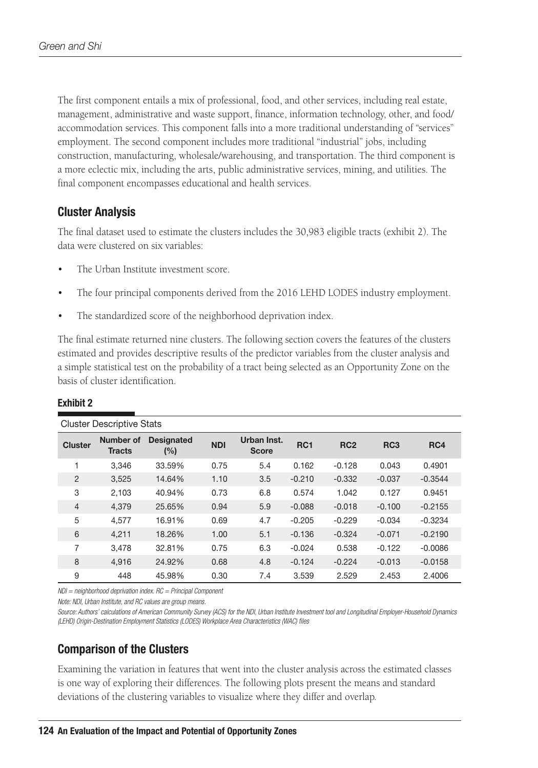The first component entails a mix of professional, food, and other services, including real estate, management, administrative and waste support, finance, information technology, other, and food/ accommodation services. This component falls into a more traditional understanding of "services" employment. The second component includes more traditional "industrial" jobs, including construction, manufacturing, wholesale/warehousing, and transportation. The third component is a more eclectic mix, including the arts, public administrative services, mining, and utilities. The final component encompasses educational and health services.

### Cluster Analysis

The final dataset used to estimate the clusters includes the 30,983 eligible tracts (exhibit 2). The data were clustered on six variables:

- The Urban Institute investment score.
- The four principal components derived from the 2016 LEHD LODES industry employment.
- The standardized score of the neighborhood deprivation index.

The final estimate returned nine clusters. The following section covers the features of the clusters estimated and provides descriptive results of the predictor variables from the cluster analysis and a simple statistical test on the probability of a tract being selected as an Opportunity Zone on the basis of cluster identification.

| <b>Cluster Descriptive Stats</b> |                                   |                          |            |                             |                 |                 |                 |           |  |  |  |
|----------------------------------|-----------------------------------|--------------------------|------------|-----------------------------|-----------------|-----------------|-----------------|-----------|--|--|--|
| <b>Cluster</b>                   | <b>Number of</b><br><b>Tracts</b> | <b>Designated</b><br>(%) | <b>NDI</b> | Urban Inst.<br><b>Score</b> | RC <sub>1</sub> | RC <sub>2</sub> | RC <sub>3</sub> | RC4       |  |  |  |
| 1                                | 3.346                             | 33.59%                   | 0.75       | 5.4                         | 0.162           | $-0.128$        | 0.043           | 0.4901    |  |  |  |
| 2                                | 3,525                             | 14.64%                   | 1.10       | 3.5                         | $-0.210$        | $-0.332$        | $-0.037$        | $-0.3544$ |  |  |  |
| 3                                | 2.103                             | 40.94%                   | 0.73       | 6.8                         | 0.574           | 1.042           | 0.127           | 0.9451    |  |  |  |
| $\overline{4}$                   | 4.379                             | 25.65%                   | 0.94       | 5.9                         | $-0.088$        | $-0.018$        | $-0.100$        | $-0.2155$ |  |  |  |
| 5                                | 4,577                             | 16.91%                   | 0.69       | 4.7                         | $-0.205$        | $-0.229$        | $-0.034$        | $-0.3234$ |  |  |  |
| 6                                | 4.211                             | 18.26%                   | 1.00       | 5.1                         | $-0.136$        | $-0.324$        | $-0.071$        | $-0.2190$ |  |  |  |
| 7                                | 3.478                             | 32.81%                   | 0.75       | 6.3                         | $-0.024$        | 0.538           | $-0.122$        | $-0.0086$ |  |  |  |
| 8                                | 4.916                             | 24.92%                   | 0.68       | 4.8                         | $-0.124$        | $-0.224$        | $-0.013$        | $-0.0158$ |  |  |  |
| 9                                | 448                               | 45.98%                   | 0.30       | 7.4                         | 3.539           | 2.529           | 2.453           | 2.4006    |  |  |  |

#### Exhibit 2

*NDI = neighborhood deprivation index. RC = Principal Component*

*Note: NDI, Urban Institute, and RC values are group means.*

*Source: Authors' calculations of American Community Survey (ACS) for the NDI, Urban Institute Investment tool and Longitudinal Employer-Household Dynamics (LEHD) Origin-Destination Employment Statistics (LODES) Workplace Area Characteristics (WAC) files*

### Comparison of the Clusters

Examining the variation in features that went into the cluster analysis across the estimated classes is one way of exploring their differences. The following plots present the means and standard deviations of the clustering variables to visualize where they differ and overlap.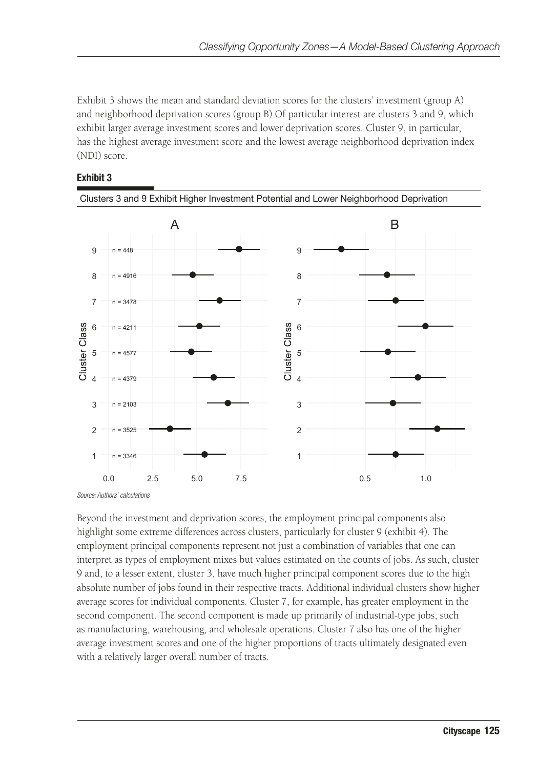Exhibit 3 shows the mean and standard deviation scores for the clusters' investment (group A) and neighborhood deprivation scores (group B) Of particular interest are clusters 3 and 9, which exhibit larger average investment scores and lower deprivation scores. Cluster 9, in particular, has the highest average investment score and the lowest average neighborhood deprivation index (NDI) score.





*Source: Authors' calculations*

Beyond the investment and deprivation scores, the employment principal components also highlight some extreme differences across clusters, particularly for cluster 9 (exhibit 4). The employment principal components represent not just a combination of variables that one can interpret as types of employment mixes but values estimated on the counts of jobs. As such, cluster 9 and, to a lesser extent, cluster 3, have much higher principal component scores due to the high absolute number of jobs found in their respective tracts. Additional individual clusters show higher average scores for individual components. Cluster 7, for example, has greater employment in the second component. The second component is made up primarily of industrial-type jobs, such as manufacturing, warehousing, and wholesale operations. Cluster 7 also has one of the higher average investment scores and one of the higher proportions of tracts ultimately designated even with a relatively larger overall number of tracts.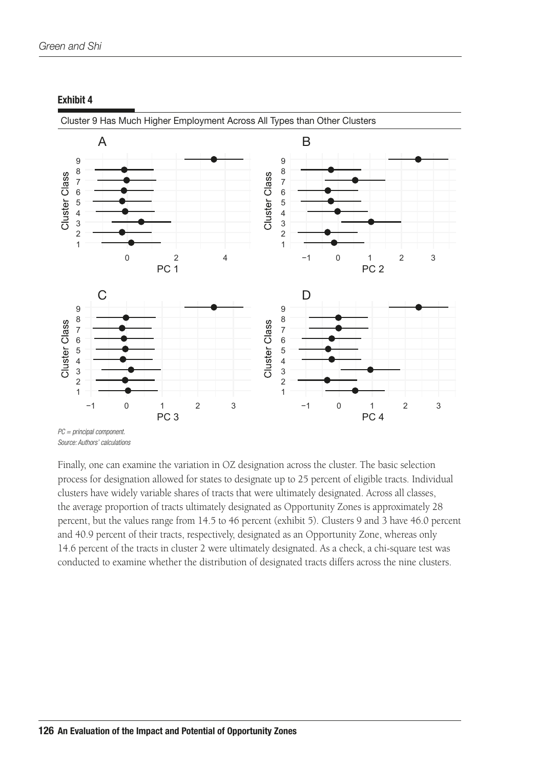

#### Exhibit 4

Cluster 9 Has Much Higher Employment Across All Types than Other Clusters

Finally, one can examine the variation in OZ designation across the cluster. The basic selection process for designation allowed for states to designate up to 25 percent of eligible tracts. Individual clusters have widely variable shares of tracts that were ultimately designated. Across all classes, the average proportion of tracts ultimately designated as Opportunity Zones is approximately 28 percent, but the values range from 14.5 to 46 percent (exhibit 5). Clusters 9 and 3 have 46.0 percent and 40.9 percent of their tracts, respectively, designated as an Opportunity Zone, whereas only 14.6 percent of the tracts in cluster 2 were ultimately designated. As a check, a chi-square test was conducted to examine whether the distribution of designated tracts differs across the nine clusters.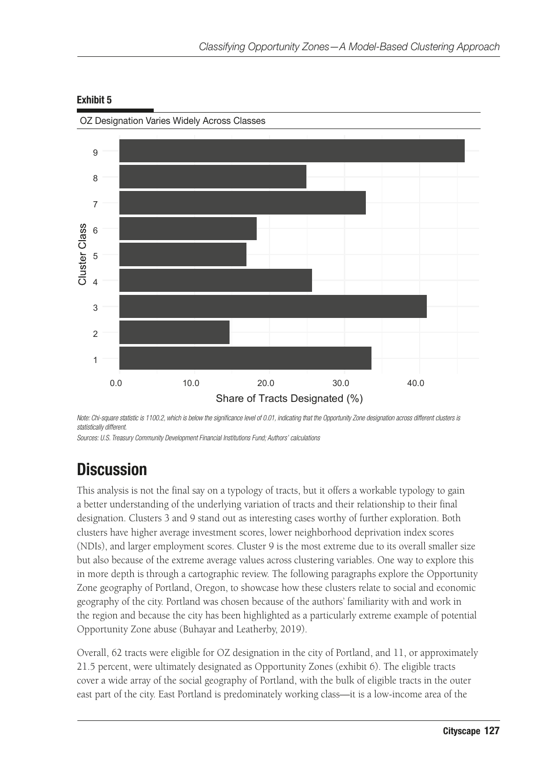

#### Exhibit 5

OZ Designation Varies Widely Across Classes

*Note: Chi-square statistic is 1100.2, which is below the significance level of 0.01, indicating that the Opportunity Zone designation across different clusters is statistically different.*

*Sources: U.S. Treasury Community Development Financial Institutions Fund; Authors' calculations*

# **Discussion**

This analysis is not the final say on a typology of tracts, but it offers a workable typology to gain a better understanding of the underlying variation of tracts and their relationship to their final designation. Clusters 3 and 9 stand out as interesting cases worthy of further exploration. Both clusters have higher average investment scores, lower neighborhood deprivation index scores (NDIs), and larger employment scores. Cluster 9 is the most extreme due to its overall smaller size but also because of the extreme average values across clustering variables. One way to explore this in more depth is through a cartographic review. The following paragraphs explore the Opportunity Zone geography of Portland, Oregon, to showcase how these clusters relate to social and economic geography of the city. Portland was chosen because of the authors' familiarity with and work in the region and because the city has been highlighted as a particularly extreme example of potential Opportunity Zone abuse (Buhayar and Leatherby, 2019).

Overall, 62 tracts were eligible for OZ designation in the city of Portland, and 11, or approximately 21.5 percent, were ultimately designated as Opportunity Zones (exhibit 6). The eligible tracts cover a wide array of the social geography of Portland, with the bulk of eligible tracts in the outer east part of the city. East Portland is predominately working class—it is a low-income area of the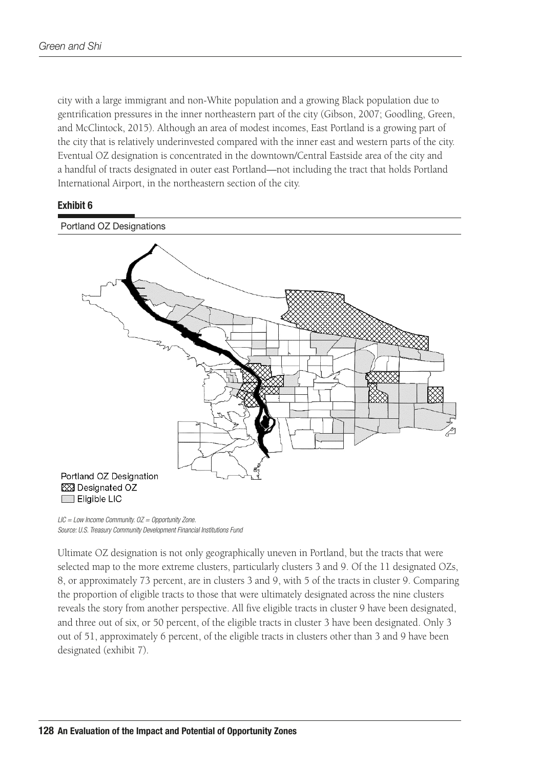city with a large immigrant and non-White population and a growing Black population due to gentrification pressures in the inner northeastern part of the city (Gibson, 2007; Goodling, Green, and McClintock, 2015). Although an area of modest incomes, East Portland is a growing part of the city that is relatively underinvested compared with the inner east and western parts of the city. Eventual OZ designation is concentrated in the downtown/Central Eastside area of the city and a handful of tracts designated in outer east Portland—not including the tract that holds Portland International Airport, in the northeastern section of the city.

#### Exhibit 6



*LIC = Low Income Community. OZ = Opportunity Zone. Source: U.S. Treasury Community Development Financial Institutions Fund*

Ultimate OZ designation is not only geographically uneven in Portland, but the tracts that were selected map to the more extreme clusters, particularly clusters 3 and 9. Of the 11 designated OZs, 8, or approximately 73 percent, are in clusters 3 and 9, with 5 of the tracts in cluster 9. Comparing the proportion of eligible tracts to those that were ultimately designated across the nine clusters reveals the story from another perspective. All five eligible tracts in cluster 9 have been designated, and three out of six, or 50 percent, of the eligible tracts in cluster 3 have been designated. Only 3 out of 51, approximately 6 percent, of the eligible tracts in clusters other than 3 and 9 have been designated (exhibit 7).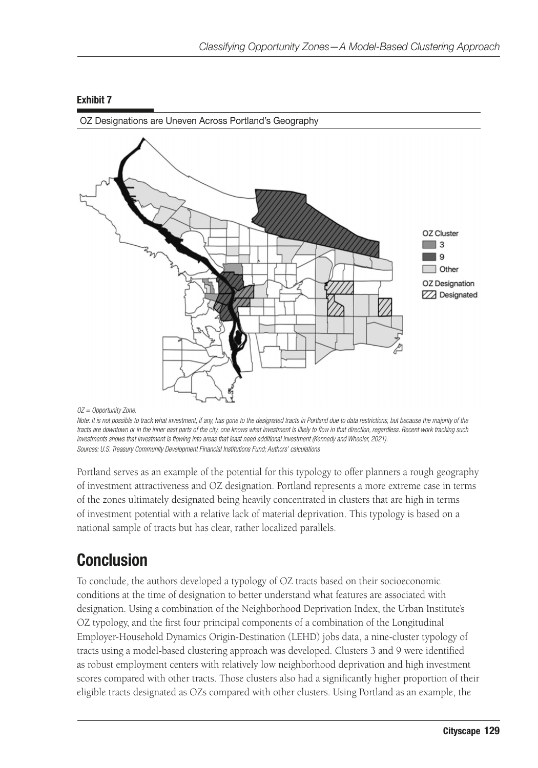

#### Exhibit 7

OZ Designations are Uneven Across Portland's Geography

*OZ = Opportunity Zone.*

Note: It is not possible to track what investment, if any, has gone to the designated tracts in Portland due to data restrictions, but because the majority of the *tracts are downtown or in the inner east parts of the city, one knows what investment is likely to flow in that direction, regardless. Recent work tracking such investments shows that investment is flowing into areas that least need additional investment (Kennedy and Wheeler, 2021). Sources: U.S. Treasury Community Development Financial Institutions Fund; Authors' calculations*

Portland serves as an example of the potential for this typology to offer planners a rough geography of investment attractiveness and OZ designation. Portland represents a more extreme case in terms of the zones ultimately designated being heavily concentrated in clusters that are high in terms of investment potential with a relative lack of material deprivation. This typology is based on a national sample of tracts but has clear, rather localized parallels.

# Conclusion

To conclude, the authors developed a typology of OZ tracts based on their socioeconomic conditions at the time of designation to better understand what features are associated with designation. Using a combination of the Neighborhood Deprivation Index, the Urban Institute's OZ typology, and the first four principal components of a combination of the Longitudinal Employer-Household Dynamics Origin-Destination (LEHD) jobs data, a nine-cluster typology of tracts using a model-based clustering approach was developed. Clusters 3 and 9 were identified as robust employment centers with relatively low neighborhood deprivation and high investment scores compared with other tracts. Those clusters also had a significantly higher proportion of their eligible tracts designated as OZs compared with other clusters. Using Portland as an example, the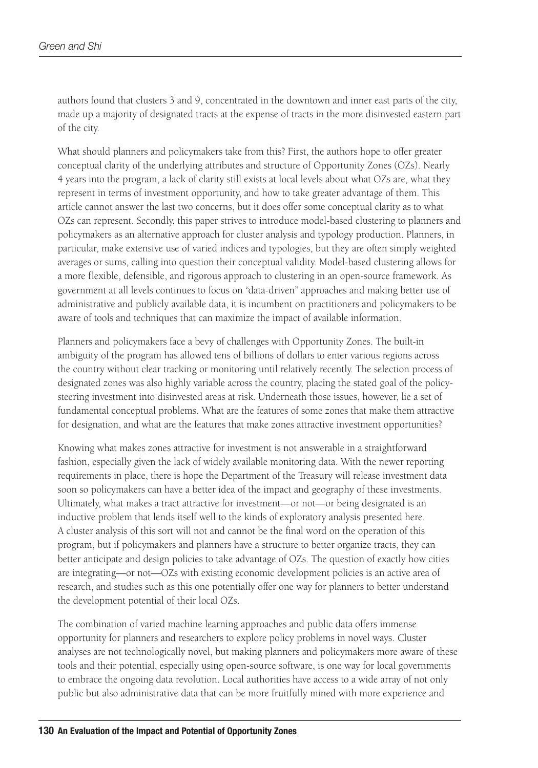authors found that clusters 3 and 9, concentrated in the downtown and inner east parts of the city, made up a majority of designated tracts at the expense of tracts in the more disinvested eastern part of the city.

What should planners and policymakers take from this? First, the authors hope to offer greater conceptual clarity of the underlying attributes and structure of Opportunity Zones (OZs). Nearly 4 years into the program, a lack of clarity still exists at local levels about what OZs are, what they represent in terms of investment opportunity, and how to take greater advantage of them. This article cannot answer the last two concerns, but it does offer some conceptual clarity as to what OZs can represent. Secondly, this paper strives to introduce model-based clustering to planners and policymakers as an alternative approach for cluster analysis and typology production. Planners, in particular, make extensive use of varied indices and typologies, but they are often simply weighted averages or sums, calling into question their conceptual validity. Model-based clustering allows for a more flexible, defensible, and rigorous approach to clustering in an open-source framework. As government at all levels continues to focus on "data-driven" approaches and making better use of administrative and publicly available data, it is incumbent on practitioners and policymakers to be aware of tools and techniques that can maximize the impact of available information.

Planners and policymakers face a bevy of challenges with Opportunity Zones. The built-in ambiguity of the program has allowed tens of billions of dollars to enter various regions across the country without clear tracking or monitoring until relatively recently. The selection process of designated zones was also highly variable across the country, placing the stated goal of the policysteering investment into disinvested areas at risk. Underneath those issues, however, lie a set of fundamental conceptual problems. What are the features of some zones that make them attractive for designation, and what are the features that make zones attractive investment opportunities?

Knowing what makes zones attractive for investment is not answerable in a straightforward fashion, especially given the lack of widely available monitoring data. With the newer reporting requirements in place, there is hope the Department of the Treasury will release investment data soon so policymakers can have a better idea of the impact and geography of these investments. Ultimately, what makes a tract attractive for investment—or not—or being designated is an inductive problem that lends itself well to the kinds of exploratory analysis presented here. A cluster analysis of this sort will not and cannot be the final word on the operation of this program, but if policymakers and planners have a structure to better organize tracts, they can better anticipate and design policies to take advantage of OZs. The question of exactly how cities are integrating—or not—OZs with existing economic development policies is an active area of research, and studies such as this one potentially offer one way for planners to better understand the development potential of their local OZs.

The combination of varied machine learning approaches and public data offers immense opportunity for planners and researchers to explore policy problems in novel ways. Cluster analyses are not technologically novel, but making planners and policymakers more aware of these tools and their potential, especially using open-source software, is one way for local governments to embrace the ongoing data revolution. Local authorities have access to a wide array of not only public but also administrative data that can be more fruitfully mined with more experience and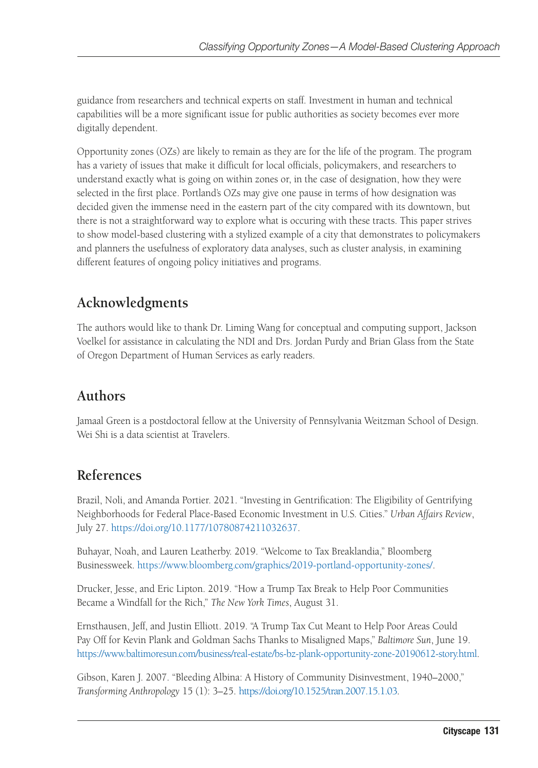guidance from researchers and technical experts on staff. Investment in human and technical capabilities will be a more significant issue for public authorities as society becomes ever more digitally dependent.

Opportunity zones (OZs) are likely to remain as they are for the life of the program. The program has a variety of issues that make it difficult for local officials, policymakers, and researchers to understand exactly what is going on within zones or, in the case of designation, how they were selected in the first place. Portland's OZs may give one pause in terms of how designation was decided given the immense need in the eastern part of the city compared with its downtown, but there is not a straightforward way to explore what is occuring with these tracts. This paper strives to show model-based clustering with a stylized example of a city that demonstrates to policymakers and planners the usefulness of exploratory data analyses, such as cluster analysis, in examining different features of ongoing policy initiatives and programs.

# **Acknowledgments**

The authors would like to thank Dr. Liming Wang for conceptual and computing support, Jackson Voelkel for assistance in calculating the NDI and Drs. Jordan Purdy and Brian Glass from the State of Oregon Department of Human Services as early readers.

# **Authors**

Jamaal Green is a postdoctoral fellow at the University of Pennsylvania Weitzman School of Design. Wei Shi is a data scientist at Travelers.

# **References**

Brazil, Noli, and Amanda Portier. 2021. "Investing in Gentrification: The Eligibility of Gentrifying Neighborhoods for Federal Place-Based Economic Investment in U.S. Cities." *Urban Affairs Review*, July 27. [https://doi.org/10.1177/10780874211032637.](https://doi.org/10.1177/10780874211032637)

Buhayar, Noah, and Lauren Leatherby. 2019. "Welcome to Tax Breaklandia," Bloomberg Businessweek. <https://www.bloomberg.com/graphics/2019-portland-opportunity-zones/>.

Drucker, Jesse, and Eric Lipton. 2019. "How a Trump Tax Break to Help Poor Communities Became a Windfall for the Rich," *The New York Times*, August 31.

Ernsthausen, Jeff, and Justin Elliott. 2019. "A Trump Tax Cut Meant to Help Poor Areas Could Pay Off for Kevin Plank and Goldman Sachs Thanks to Misaligned Maps," *Baltimore Sun*, June 19. [https://www.baltimoresun.com/business/real-estate/bs-bz-plank-opportunity-zone-20190612-story.html.](https://www.baltimoresun.com/business/real-estate/bs-bz-plank-opportunity-zone-20190612-story.html)

Gibson, Karen J. 2007. "Bleeding Albina: A History of Community Disinvestment, 1940–2000," *Transforming Anthropology* 15 (1): 3–25. [https://doi.org/10.1525/tran.2007.15.1.03.](https://doi.org/10.1525/tran.2007.15.1.03)